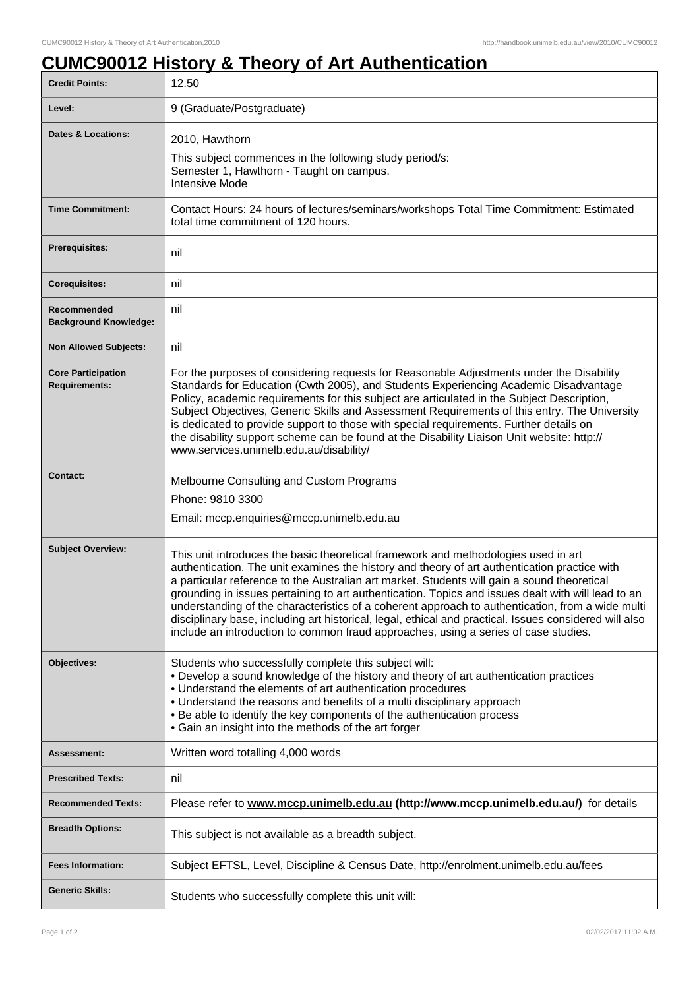## **CUMC90012 History & Theory of Art Authentication**

| <b>Credit Points:</b>                             | 12.50                                                                                                                                                                                                                                                                                                                                                                                                                                                                                                                                                                                                                                                                                        |
|---------------------------------------------------|----------------------------------------------------------------------------------------------------------------------------------------------------------------------------------------------------------------------------------------------------------------------------------------------------------------------------------------------------------------------------------------------------------------------------------------------------------------------------------------------------------------------------------------------------------------------------------------------------------------------------------------------------------------------------------------------|
| Level:                                            | 9 (Graduate/Postgraduate)                                                                                                                                                                                                                                                                                                                                                                                                                                                                                                                                                                                                                                                                    |
| <b>Dates &amp; Locations:</b>                     | 2010, Hawthorn<br>This subject commences in the following study period/s:<br>Semester 1, Hawthorn - Taught on campus.<br><b>Intensive Mode</b>                                                                                                                                                                                                                                                                                                                                                                                                                                                                                                                                               |
| <b>Time Commitment:</b>                           | Contact Hours: 24 hours of lectures/seminars/workshops Total Time Commitment: Estimated<br>total time commitment of 120 hours.                                                                                                                                                                                                                                                                                                                                                                                                                                                                                                                                                               |
| <b>Prerequisites:</b>                             | nil                                                                                                                                                                                                                                                                                                                                                                                                                                                                                                                                                                                                                                                                                          |
| <b>Corequisites:</b>                              | nil                                                                                                                                                                                                                                                                                                                                                                                                                                                                                                                                                                                                                                                                                          |
| Recommended<br><b>Background Knowledge:</b>       | nil                                                                                                                                                                                                                                                                                                                                                                                                                                                                                                                                                                                                                                                                                          |
| <b>Non Allowed Subjects:</b>                      | nil                                                                                                                                                                                                                                                                                                                                                                                                                                                                                                                                                                                                                                                                                          |
| <b>Core Participation</b><br><b>Requirements:</b> | For the purposes of considering requests for Reasonable Adjustments under the Disability<br>Standards for Education (Cwth 2005), and Students Experiencing Academic Disadvantage<br>Policy, academic requirements for this subject are articulated in the Subject Description,<br>Subject Objectives, Generic Skills and Assessment Requirements of this entry. The University<br>is dedicated to provide support to those with special requirements. Further details on<br>the disability support scheme can be found at the Disability Liaison Unit website: http://<br>www.services.unimelb.edu.au/disability/                                                                            |
| <b>Contact:</b>                                   | Melbourne Consulting and Custom Programs<br>Phone: 9810 3300<br>Email: mccp.enquiries@mccp.unimelb.edu.au                                                                                                                                                                                                                                                                                                                                                                                                                                                                                                                                                                                    |
| <b>Subject Overview:</b>                          | This unit introduces the basic theoretical framework and methodologies used in art<br>authentication. The unit examines the history and theory of art authentication practice with<br>a particular reference to the Australian art market. Students will gain a sound theoretical<br>grounding in issues pertaining to art authentication. Topics and issues dealt with will lead to an<br>understanding of the characteristics of a coherent approach to authentication, from a wide multi<br>disciplinary base, including art historical, legal, ethical and practical. Issues considered will also<br>include an introduction to common fraud approaches, using a series of case studies. |
| Objectives:                                       | Students who successfully complete this subject will:<br>• Develop a sound knowledge of the history and theory of art authentication practices<br>• Understand the elements of art authentication procedures<br>• Understand the reasons and benefits of a multi disciplinary approach<br>. Be able to identify the key components of the authentication process<br>• Gain an insight into the methods of the art forger                                                                                                                                                                                                                                                                     |
| Assessment:                                       | Written word totalling 4,000 words                                                                                                                                                                                                                                                                                                                                                                                                                                                                                                                                                                                                                                                           |
| <b>Prescribed Texts:</b>                          | nil                                                                                                                                                                                                                                                                                                                                                                                                                                                                                                                                                                                                                                                                                          |
| <b>Recommended Texts:</b>                         | Please refer to www.mccp.unimelb.edu.au (http://www.mccp.unimelb.edu.au/) for details                                                                                                                                                                                                                                                                                                                                                                                                                                                                                                                                                                                                        |
| <b>Breadth Options:</b>                           | This subject is not available as a breadth subject.                                                                                                                                                                                                                                                                                                                                                                                                                                                                                                                                                                                                                                          |
| <b>Fees Information:</b>                          | Subject EFTSL, Level, Discipline & Census Date, http://enrolment.unimelb.edu.au/fees                                                                                                                                                                                                                                                                                                                                                                                                                                                                                                                                                                                                         |
| <b>Generic Skills:</b>                            | Students who successfully complete this unit will:                                                                                                                                                                                                                                                                                                                                                                                                                                                                                                                                                                                                                                           |